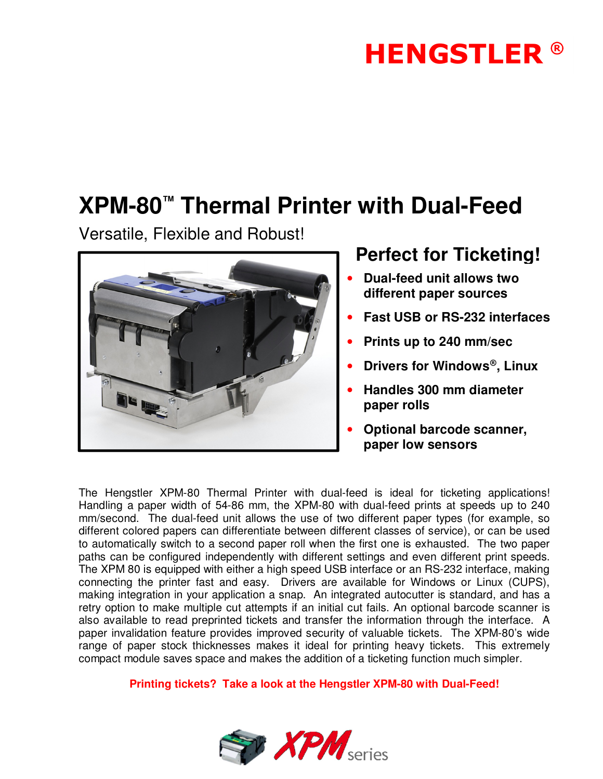# **HENGSTLER ®**

## **XPM-80™ Thermal Printer with Dual-Feed**

Versatile, Flexible and Robust!



## **Perfect for Ticketing!**

- **Dual-feed unit allows two different paper sources**
- **Fast USB or RS-232 interfaces**
- **Prints up to 240 mm/sec**
- **Drivers for Windows®, Linux**
- **Handles 300 mm diameter paper rolls**
- **Optional barcode scanner, paper low sensors**

The Hengstler XPM-80 Thermal Printer with dual-feed is ideal for ticketing applications! Handling a paper width of 54-86 mm, the XPM-80 with dual-feed prints at speeds up to 240 mm/second. The dual-feed unit allows the use of two different paper types (for example, so different colored papers can differentiate between different classes of service), or can be used to automatically switch to a second paper roll when the first one is exhausted. The two paper paths can be configured independently with different settings and even different print speeds. The XPM 80 is equipped with either a high speed USB interface or an RS-232 interface, making connecting the printer fast and easy. Drivers are available for Windows or Linux (CUPS), making integration in your application a snap. An integrated autocutter is standard, and has a retry option to make multiple cut attempts if an initial cut fails. An optional barcode scanner is also available to read preprinted tickets and transfer the information through the interface. A paper invalidation feature provides improved security of valuable tickets. The XPM-80's wide range of paper stock thicknesses makes it ideal for printing heavy tickets. This extremely compact module saves space and makes the addition of a ticketing function much simpler.

#### **Printing tickets? Take a look at the Hengstler XPM-80 with Dual-Feed!**